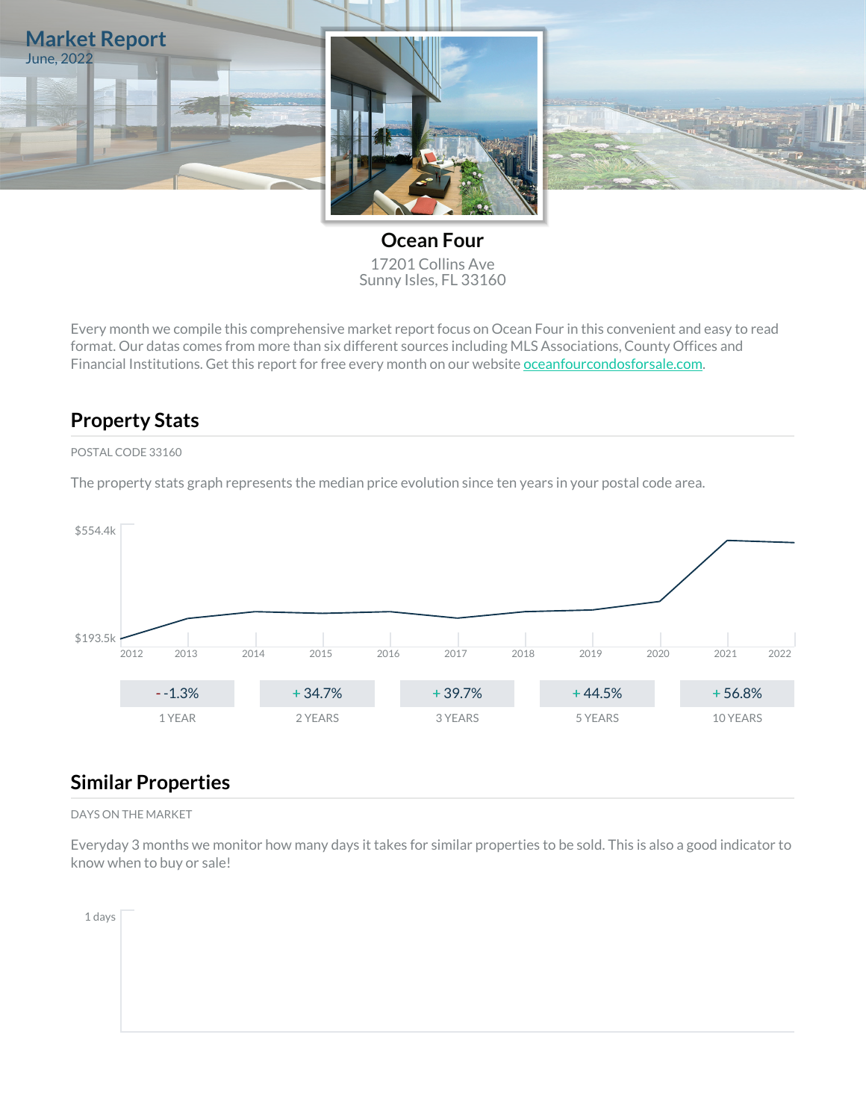

**Ocean Four** 17201 Collins Ave Sunny Isles, FL 33160

Every month we compile this comprehensive market report focus on Ocean Four in this convenient and easy to read format. Our datas comes from more than six different sources including MLS Associations, County Offices and Financial Institutions. Get this report for free every month on our website [oceanfourcondosforsale.com.](https://oceanfourcondosforsale.com)

## **Property Stats**

### POSTAL CODE 33160

The property stats graph represents the median price evolution since ten years in your postal code area.



## **Similar Properties**

#### DAYS ON THE MARKET

Everyday 3 months we monitor how many days it takes for similar properties to be sold. This is also a good indicator to know when to buy or sale!

1 days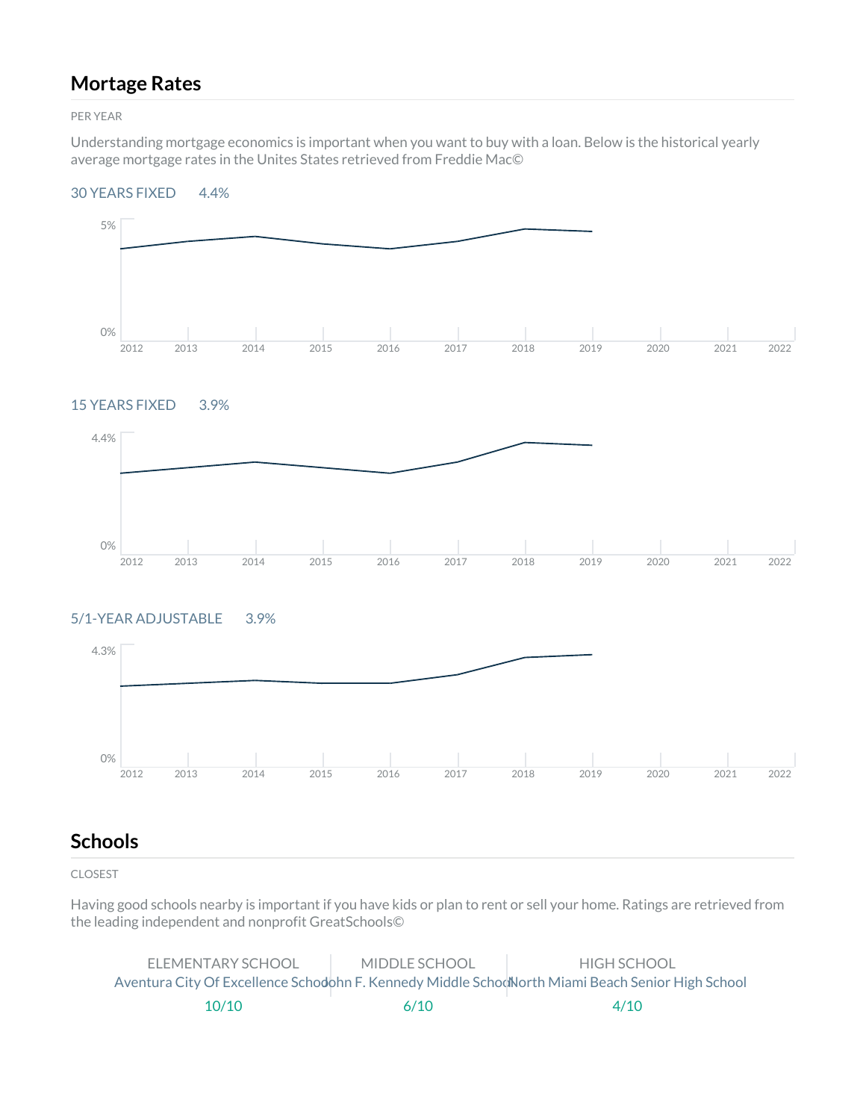## **Mortage Rates**

PER YEAR

Understanding mortgage economics is important when you want to buy with a loan. Below is the historical yearly average mortgage rates in the Unites States retrieved from Freddie Mac©

### 30 YEARS FIXED 4.4%



### 15 YEARS FIXED 3.9%



### 5/1-YEAR ADJUSTABLE 3.9%



## **Schools**

CLOSEST

Having good schools nearby is important if you have kids or plan to rent or sell your home. Ratings are retrieved from the leading independent and nonprofit GreatSchools©

| ELEMENTARY SCHOOL | MIDDLE SCHOOL | HIGH SCHOOL                                                                                      |
|-------------------|---------------|--------------------------------------------------------------------------------------------------|
|                   |               | Aventura City Of Excellence Schodohn F. Kennedy Middle SchodNorth Miami Beach Senior High School |
| 10/10             | 6/10          | 4/10                                                                                             |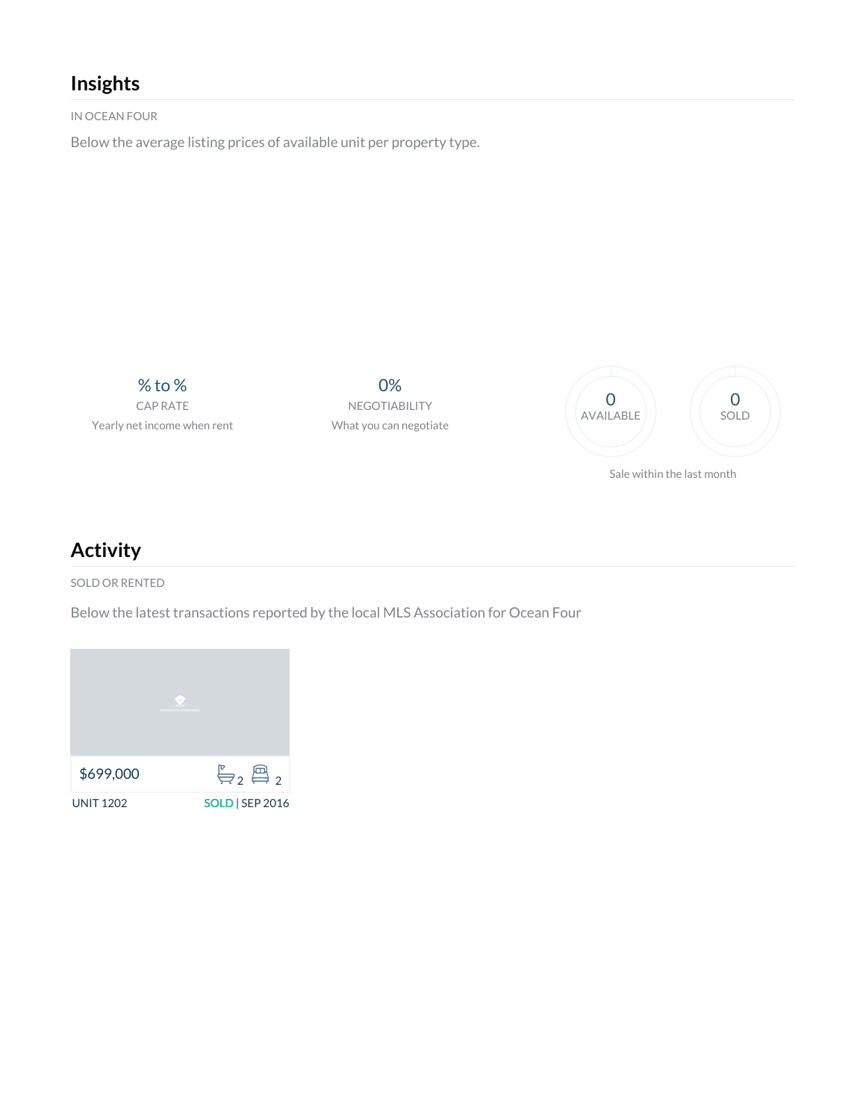# **Insights**

IN OCEAN FOUR

Below the average listing prices of available unit per property type.

% to % CAP RATE Yearly net income when rent

0% NEGOTIABILITY What you can negotiate



Sale within the last month

# **Activity**

SOLD OR RENTED

Below the latest transactions reported by the local MLS Association for Ocean Four

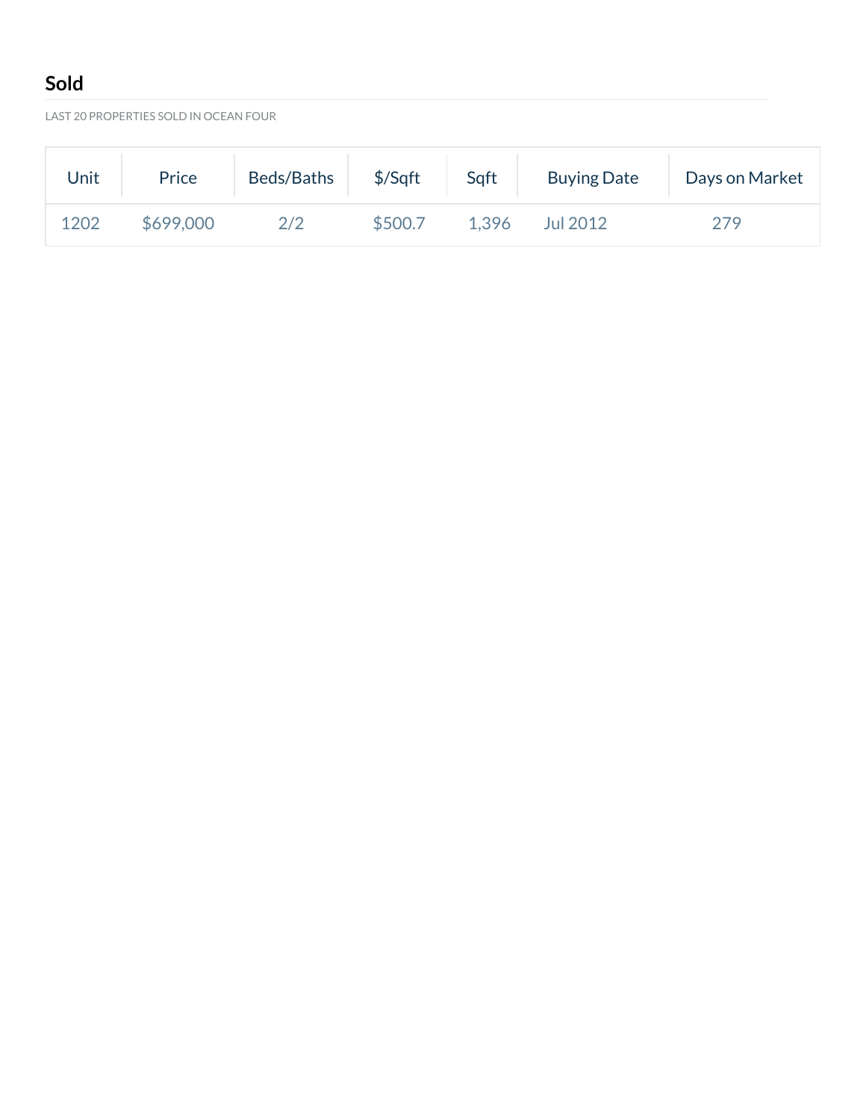# **Sold**

LAST 20 PROPERTIES SOLD IN OCEAN FOUR

| Unit | Price     | Beds/Baths | \$/Sqft | Sqft  | <b>Buying Date</b> | Days on Market |
|------|-----------|------------|---------|-------|--------------------|----------------|
| 1202 | \$699,000 | 2/2        | \$500.7 | 1.396 | Jul 2012           | 279            |